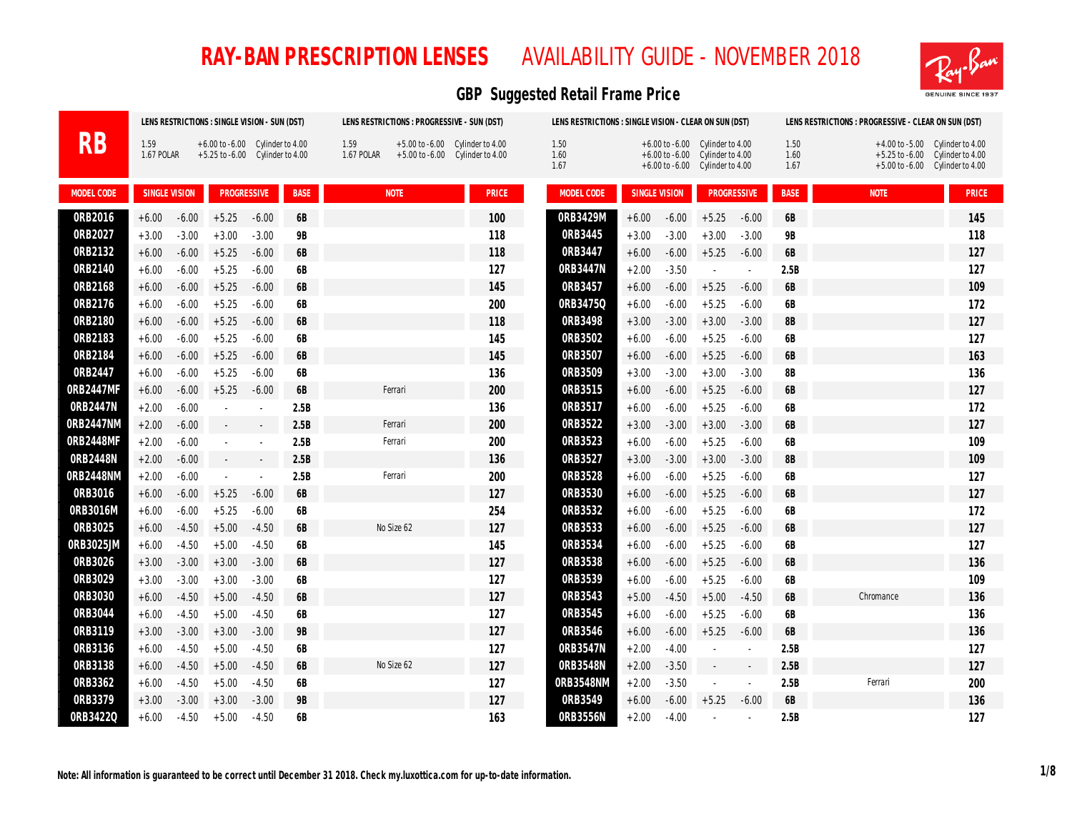

|            |                      |         | LENS RESTRICTIONS : SINGLE VISION - SUN (DST)                                |                      |             |                    | LENS RESTRICTIONS : PROGRESSIVE - SUN (DST) |                                                                        | LENS RESTRICTIONS : SINGLE VISION - CLEAR ON SUN (DST) |                      |         |                                                                                                               |           |                      | LENS RESTRICTIONS : PROGRESSIVE - CLEAR ON SUN (DST) |                                                                                                             |
|------------|----------------------|---------|------------------------------------------------------------------------------|----------------------|-------------|--------------------|---------------------------------------------|------------------------------------------------------------------------|--------------------------------------------------------|----------------------|---------|---------------------------------------------------------------------------------------------------------------|-----------|----------------------|------------------------------------------------------|-------------------------------------------------------------------------------------------------------------|
| RB         | 1.59<br>1.67 POLAR   |         | $+6.00$ to $-6.00$ Cylinder to $4.00$<br>$+5.25$ to $-6.00$ Cylinder to 4.00 |                      |             | 1.59<br>1.67 POLAR |                                             | $+5.00$ to $-6.00$ Cylinder to 4.00<br>+5.00 to -6.00 Cylinder to 4.00 | 1.50<br>1.60<br>1.67                                   |                      |         | $+6.00$ to $-6.00$ Cylinder to 4.00<br>+6.00 to -6.00 Cylinder to 4.00<br>$+6.00$ to $-6.00$ Cylinder to 4.00 |           | 1.50<br>1.60<br>1.67 |                                                      | $+4.00$ to $-5.00$ Cylinder to $4.00$<br>+5.25 to -6.00 Cylinder to 4.00<br>+5.00 to -6.00 Cylinder to 4.00 |
| MODEL CODE | <b>SINGLE VISION</b> |         | <b>PROGRESSIVE</b>                                                           |                      | <b>BASE</b> |                    | <b>NOTE</b>                                 | <b>PRICE</b>                                                           | MODEL CODE                                             | <b>SINGLE VISION</b> |         | <b>PROGRESSIVE</b>                                                                                            |           | <b>BASE</b>          | <b>NOTE</b>                                          | <b>PRICE</b>                                                                                                |
| 0RB2016    | $+6.00$              | $-6.00$ | $+5.25$                                                                      | $-6.00$              | 6B          |                    |                                             | 100                                                                    | 0RB3429M                                               | $+6.00$              | $-6.00$ | $+5.25$                                                                                                       | $-6.00$   | 6B                   |                                                      | 145                                                                                                         |
| 0RB2027    | $+3.00$              | $-3.00$ | $+3.00$                                                                      | $-3.00$              | <b>9B</b>   |                    |                                             | 118                                                                    | ORB3445                                                | $+3.00$              | $-3.00$ | $+3.00$                                                                                                       | $-3.00$   | <b>9B</b>            |                                                      | 118                                                                                                         |
| ORB2132    | $+6.00$              | $-6.00$ | $+5.25$                                                                      | $-6.00$              | 6B          |                    |                                             | 118                                                                    | 0RB3447                                                | $+6.00$              | $-6.00$ | $+5.25$                                                                                                       | $-6.00$   | <b>6B</b>            |                                                      | 127                                                                                                         |
| 0RB2140    | $+6.00$              | $-6.00$ | $+5.25$                                                                      | $-6.00$              | 6B          |                    |                                             | 127                                                                    | 0RB3447N                                               | $+2.00$              | $-3.50$ | $\sim$                                                                                                        | $\bar{a}$ | 2.5B                 |                                                      | 127                                                                                                         |
| 0RB2168    | $+6.00$              | $-6.00$ | $+5.25$                                                                      | $-6.00$              | 6B          |                    |                                             | 145                                                                    | ORB3457                                                | $+6.00$              | $-6.00$ | $+5.25$                                                                                                       | $-6.00$   | 6B                   |                                                      | 109                                                                                                         |
| 0RB2176    | $+6.00$              | $-6.00$ | $+5.25$                                                                      | $-6.00$              | 6B          |                    |                                             | 200                                                                    | 0RB34750                                               | $+6.00$              | $-6.00$ | $+5.25$                                                                                                       | $-6.00$   | <b>6B</b>            |                                                      | 172                                                                                                         |
| 0RB2180    | $+6.00$              | $-6.00$ | $+5.25$                                                                      | $-6.00$              | 6B          |                    |                                             | 118                                                                    | ORB3498                                                | $+3.00$              | $-3.00$ | $+3.00$                                                                                                       | $-3.00$   | 8B                   |                                                      | 127                                                                                                         |
| ORB2183    | $+6.00$              | $-6.00$ | $+5.25$                                                                      | $-6.00$              | 6B          |                    |                                             | 145                                                                    | ORB3502                                                | $+6.00$              | $-6.00$ | $+5.25$                                                                                                       | $-6.00$   | 6B                   |                                                      | 127                                                                                                         |
| 0RB2184    | $+6.00$              | $-6.00$ | $+5.25$                                                                      | $-6.00$              | 6B          |                    |                                             | 145                                                                    | ORB3507                                                | $+6.00$              | $-6.00$ | $+5.25$                                                                                                       | $-6.00$   | 6B                   |                                                      | 163                                                                                                         |
| 0RB2447    | $+6.00$              | $-6.00$ | $+5.25$                                                                      | $-6.00$              | 6B          |                    |                                             | 136                                                                    | 0RB3509                                                | $+3.00$              | $-3.00$ | $+3.00$                                                                                                       | $-3.00$   | <b>8B</b>            |                                                      | 136                                                                                                         |
| 0RB2447MF  | $+6.00$              | $-6.00$ | $+5.25$                                                                      | $-6.00$              | 6B          |                    | Ferrari                                     | 200                                                                    | ORB3515                                                | $+6.00$              | $-6.00$ | $+5.25$                                                                                                       | $-6.00$   | <b>6B</b>            |                                                      | 127                                                                                                         |
| 0RB2447N   | $+2.00$              | $-6.00$ |                                                                              |                      | 2.5B        |                    |                                             | 136                                                                    | ORB3517                                                | $+6.00$              | $-6.00$ | $+5.25$                                                                                                       | $-6.00$   | 6B                   |                                                      | 172                                                                                                         |
| 0RB2447NM  | $+2.00$              | $-6.00$ |                                                                              | $\sim$               | 2.5B        |                    | Ferrari                                     | 200                                                                    | ORB3522                                                | $+3.00$              | $-3.00$ | $+3.00$                                                                                                       | $-3.00$   | <b>6B</b>            |                                                      | 127                                                                                                         |
| 0RB2448MF  | $+2.00$              | $-6.00$ |                                                                              | $\ddot{\phantom{a}}$ | 2.5B        |                    | Ferrari                                     | 200                                                                    | ORB3523                                                | $+6.00$              | $-6.00$ | $+5.25$                                                                                                       | $-6.00$   | 6B                   |                                                      | 109                                                                                                         |
| 0RB2448N   | $+2.00$              | $-6.00$ | $\sim$                                                                       | $\sim$               | 2.5B        |                    |                                             | 136                                                                    | ORB3527                                                | $+3.00$              | $-3.00$ | $+3.00$                                                                                                       | $-3.00$   | 8B                   |                                                      | 109                                                                                                         |
| 0RB2448NM  | $+2.00$              | $-6.00$ |                                                                              | $\sim$               | 2.5B        |                    | Ferrari                                     | 200                                                                    | ORB3528                                                | $+6.00$              | $-6.00$ | $+5.25$                                                                                                       | $-6.00$   | <b>6B</b>            |                                                      | 127                                                                                                         |
| 0RB3016    | $+6.00$              | $-6.00$ | $+5.25$                                                                      | $-6.00$              | 6B          |                    |                                             | 127                                                                    | 0RB3530                                                | $+6.00$              | $-6.00$ | $+5.25$                                                                                                       | $-6.00$   | <b>6B</b>            |                                                      | 127                                                                                                         |
| 0RB3016M   | $+6.00$              | $-6.00$ | $+5.25$                                                                      | $-6.00$              | 6B          |                    |                                             | 254                                                                    | ORB3532                                                | $+6.00$              | $-6.00$ | $+5.25$                                                                                                       | $-6.00$   | <b>6B</b>            |                                                      | 172                                                                                                         |
| 0RB3025    | $+6.00$              | $-4.50$ | $+5.00$                                                                      | $-4.50$              | 6B          |                    | No Size 62                                  | 127                                                                    | ORB3533                                                | $+6.00$              | $-6.00$ | $+5.25$                                                                                                       | $-6.00$   | <b>6B</b>            |                                                      | 127                                                                                                         |
| 0RB3025JM  | $+6.00$              | $-4.50$ | $+5.00$                                                                      | $-4.50$              | 6B          |                    |                                             | 145                                                                    | ORB3534                                                | $+6.00$              | $-6.00$ | $+5.25$                                                                                                       | $-6.00$   | <b>6B</b>            |                                                      | 127                                                                                                         |
| 0RB3026    | $+3.00$              | $-3.00$ | $+3.00$                                                                      | $-3.00$              | 6B          |                    |                                             | 127                                                                    | ORB3538                                                | $+6.00$              | $-6.00$ | $+5.25$                                                                                                       | $-6.00$   | 6B                   |                                                      | 136                                                                                                         |
| 0RB3029    | $+3.00$              | $-3.00$ | $+3.00$                                                                      | $-3.00$              | 6B          |                    |                                             | 127                                                                    | ORB3539                                                | $+6.00$              | $-6.00$ | $+5.25$                                                                                                       | $-6.00$   | <b>6B</b>            |                                                      | 109                                                                                                         |
| 0RB3030    | $+6.00$              | $-4.50$ | $+5.00$                                                                      | $-4.50$              | 6B          |                    |                                             | 127                                                                    | ORB3543                                                | $+5.00$              | $-4.50$ | $+5.00$                                                                                                       | $-4.50$   | 6B                   | Chromance                                            | 136                                                                                                         |
| 0RB3044    | $+6.00$              | $-4.50$ | $+5.00$                                                                      | $-4.50$              | 6B          |                    |                                             | 127                                                                    | ORB3545                                                | $+6.00$              | $-6.00$ | $+5.25$                                                                                                       | $-6.00$   | 6B                   |                                                      | 136                                                                                                         |
| ORB3119    | $+3.00$              | $-3.00$ | $+3.00$                                                                      | $-3.00$              | <b>9B</b>   |                    |                                             | 127                                                                    | 0RB3546                                                | $+6.00$              | $-6.00$ | $+5.25$                                                                                                       | $-6.00$   | <b>6B</b>            |                                                      | 136                                                                                                         |
| ORB3136    | $+6.00$              | $-4.50$ | $+5.00$                                                                      | $-4.50$              | 6B          |                    |                                             | 127                                                                    | 0RB3547N                                               | $+2.00$              | $-4.00$ |                                                                                                               |           | 2.5B                 |                                                      | 127                                                                                                         |
| ORB3138    | $+6.00$              | $-4.50$ | $+5.00$                                                                      | $-4.50$              | 6B          |                    | No Size 62                                  | 127                                                                    | 0RB3548N                                               | $+2.00$              | $-3.50$ | $\sim$                                                                                                        |           | 2.5B                 |                                                      | 127                                                                                                         |
| ORB3362    | $+6.00$              | $-4.50$ | $+5.00$                                                                      | $-4.50$              | 6B          |                    |                                             | 127                                                                    | 0RB3548NM                                              | $+2.00$              | $-3.50$ |                                                                                                               |           | 2.5B                 | Ferrari                                              | 200                                                                                                         |
| ORB3379    | $+3.00$              | $-3.00$ | $+3.00$                                                                      | $-3.00$              | <b>9B</b>   |                    |                                             | 127                                                                    | 0RB3549                                                | $+6.00$              | $-6.00$ | $+5.25$                                                                                                       | $-6.00$   | 6B                   |                                                      | 136                                                                                                         |
| 0RB34220   | $+6.00$              | $-4.50$ | $+5.00$                                                                      | $-4.50$              | 6B          |                    |                                             | 163                                                                    | <b>ORB3556N</b>                                        | $+2.00$              | $-4.00$ |                                                                                                               |           | 2.5B                 |                                                      | 127                                                                                                         |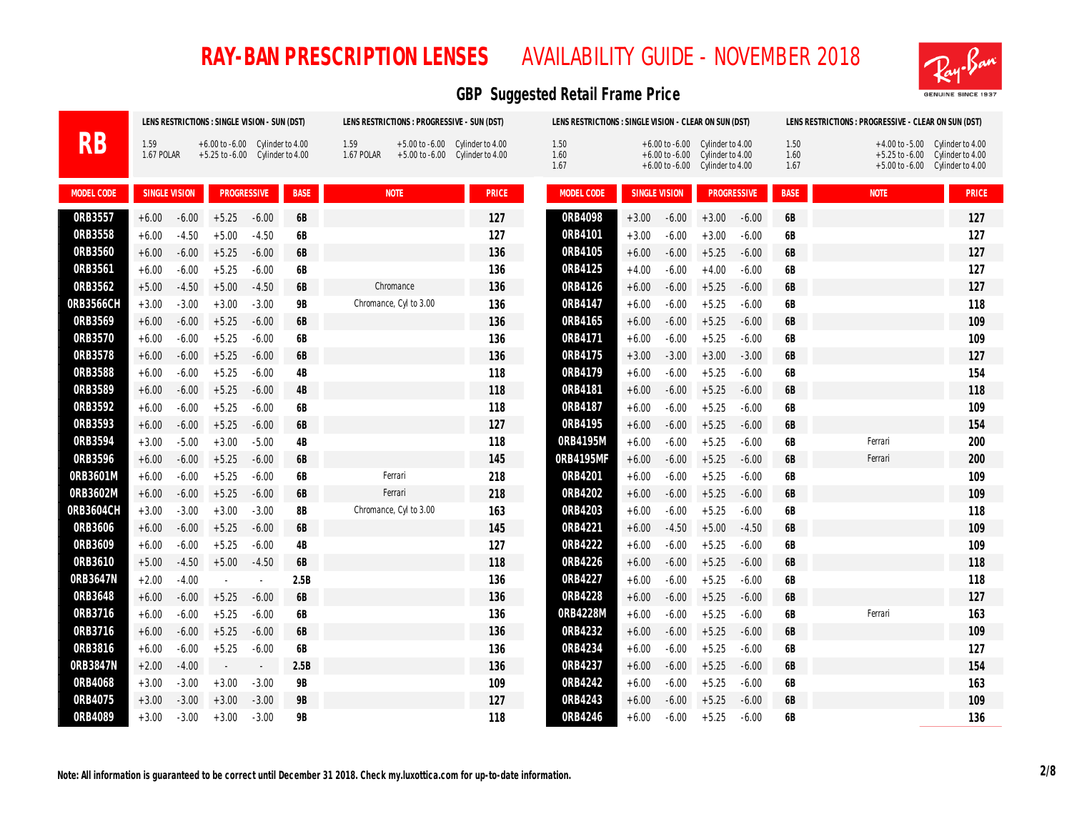

|            |                    |         | LENS RESTRICTIONS : SINGLE VISION - SUN (DST)                                |         |             |                    | LENS RESTRICTIONS : PROGRESSIVE - SUN (DST) |                                                                            | LENS RESTRICTIONS : SINGLE VISION - CLEAR ON SUN (DST) |                      |         |                                                                                                               |         |                      | LENS RESTRICTIONS : PROGRESSIVE - CLEAR ON SUN (DST) |                                                                                                                   |
|------------|--------------------|---------|------------------------------------------------------------------------------|---------|-------------|--------------------|---------------------------------------------|----------------------------------------------------------------------------|--------------------------------------------------------|----------------------|---------|---------------------------------------------------------------------------------------------------------------|---------|----------------------|------------------------------------------------------|-------------------------------------------------------------------------------------------------------------------|
| RB         | 1.59<br>1.67 POLAR |         | $+6.00$ to $-6.00$ Cylinder to $4.00$<br>$+5.25$ to $-6.00$ Cylinder to 4.00 |         |             | 1.59<br>1.67 POLAR |                                             | $+5.00$ to $-6.00$ Cylinder to 4.00<br>$+5.00$ to $-6.00$ Cylinder to 4.00 | 1.50<br>1.60<br>1.67                                   |                      |         | $+6.00$ to $-6.00$ Cylinder to 4.00<br>$+6.00$ to $-6.00$ Cylinder to 4.00<br>+6.00 to -6.00 Cylinder to 4.00 |         | 1.50<br>1.60<br>1.67 |                                                      | $+4.00$ to $-5.00$ Cylinder to $4.00$<br>$+5.25$ to $-6.00$ Cylinder to $4.00$<br>+5.00 to -6.00 Cylinder to 4.00 |
| MODEL CODE | SINGLE VISION      |         | <b>PROGRESSIVE</b>                                                           |         | <b>BASE</b> |                    | <b>NOTE</b>                                 | <b>PRICE</b>                                                               | MODEL CODE                                             | <b>SINGLE VISION</b> |         | <b>PROGRESSIVE</b>                                                                                            |         | <b>BASE</b>          | <b>NOTE</b>                                          | <b>PRICE</b>                                                                                                      |
| ORB3557    | $+6.00$            | $-6.00$ | $+5.25$                                                                      | $-6.00$ | 6B          |                    |                                             | 127                                                                        | 0RB4098                                                | $+3.00$              | $-6.00$ | $+3.00$                                                                                                       | $-6.00$ | 6B                   |                                                      | 127                                                                                                               |
| ORB3558    | $+6.00$            | $-4.50$ | $+5.00$                                                                      | $-4.50$ | 6B          |                    |                                             | 127                                                                        | 0RB4101                                                | $+3.00$              | $-6.00$ | $+3.00$                                                                                                       | $-6.00$ | 6B                   |                                                      | 127                                                                                                               |
| 0RB3560    | $+6.00$            | $-6.00$ | $+5.25$                                                                      | $-6.00$ | 6B          |                    |                                             | 136                                                                        | 0RB4105                                                | $+6.00$              | $-6.00$ | $+5.25$                                                                                                       | $-6.00$ | 6B                   |                                                      | 127                                                                                                               |
| 0RB3561    | $+6.00$            | $-6.00$ | $+5.25$                                                                      | $-6.00$ | 6B          |                    |                                             | 136                                                                        | ORB4125                                                | $+4.00$              | $-6.00$ | $+4.00$                                                                                                       | $-6.00$ | 6B                   |                                                      | 127                                                                                                               |
| ORB3562    | $+5.00$            | $-4.50$ | $+5.00$                                                                      | $-4.50$ | 6B          |                    | Chromance                                   | 136                                                                        | 0RB4126                                                | $+6.00$              | $-6.00$ | $+5.25$                                                                                                       | $-6.00$ | 6B                   |                                                      | 127                                                                                                               |
| 0RB3566CH  | $+3.00$            | $-3.00$ | $+3.00$                                                                      | $-3.00$ | <b>9B</b>   |                    | Chromance, Cyl to 3.00                      | 136                                                                        | 0RB4147                                                | $+6.00$              | $-6.00$ | $+5.25$                                                                                                       | $-6.00$ | 6B                   |                                                      | 118                                                                                                               |
| 0RB3569    | $+6.00$            | $-6.00$ | $+5.25$                                                                      | $-6.00$ | <b>6B</b>   |                    |                                             | 136                                                                        | 0RB4165                                                | $+6.00$              | $-6.00$ | $+5.25$                                                                                                       | $-6.00$ | 6B                   |                                                      | 109                                                                                                               |
| 0RB3570    | $+6.00$            | $-6.00$ | $+5.25$                                                                      | $-6.00$ | 6B          |                    |                                             | 136                                                                        | ORB4171                                                | $+6.00$              | $-6.00$ | $+5.25$                                                                                                       | $-6.00$ | 6B                   |                                                      | 109                                                                                                               |
| ORB3578    | $+6.00$            | $-6.00$ | $+5.25$                                                                      | $-6.00$ | <b>6B</b>   |                    |                                             | 136                                                                        | ORB4175                                                | $+3.00$              | $-3.00$ | $+3.00$                                                                                                       | $-3.00$ | 6B                   |                                                      | 127                                                                                                               |
| ORB3588    | $+6.00$            | $-6.00$ | $+5.25$                                                                      | $-6.00$ | 4B          |                    |                                             | 118                                                                        | 0RB4179                                                | $+6.00$              | $-6.00$ | $+5.25$                                                                                                       | $-6.00$ | 6B                   |                                                      | 154                                                                                                               |
| ORB3589    | $+6.00$            | $-6.00$ | $+5.25$                                                                      | $-6.00$ | 4B          |                    |                                             | 118                                                                        | ORB4181                                                | $+6.00$              | $-6.00$ | $+5.25$                                                                                                       | $-6.00$ | 6B                   |                                                      | 118                                                                                                               |
| ORB3592    | $+6.00$            | $-6.00$ | $+5.25$                                                                      | $-6.00$ | <b>6B</b>   |                    |                                             | 118                                                                        | ORB4187                                                | $+6.00$              | $-6.00$ | $+5.25$                                                                                                       | $-6.00$ | 6B                   |                                                      | 109                                                                                                               |
| ORB3593    | $+6.00$            | $-6.00$ | $+5.25$                                                                      | $-6.00$ | 6B          |                    |                                             | 127                                                                        | 0RB4195                                                | $+6.00$              | $-6.00$ | $+5.25$                                                                                                       | $-6.00$ | <b>6B</b>            |                                                      | 154                                                                                                               |
| 0RB3594    | $+3.00$            | $-5.00$ | $+3.00$                                                                      | $-5.00$ | 4B          |                    |                                             | 118                                                                        | 0RB4195M                                               | $+6.00$              | $-6.00$ | $+5.25$                                                                                                       | $-6.00$ | 6B                   | Ferrari                                              | 200                                                                                                               |
| 0RB3596    | $+6.00$            | $-6.00$ | $+5.25$                                                                      | $-6.00$ | <b>6B</b>   |                    |                                             | 145                                                                        | 0RB4195MF                                              | $+6.00$              | $-6.00$ | $+5.25$                                                                                                       | $-6.00$ | 6B                   | Ferrari                                              | 200                                                                                                               |
| 0RB3601M   | $+6.00$            | $-6.00$ | $+5.25$                                                                      | $-6.00$ | <b>6B</b>   |                    | Ferrari                                     | 218                                                                        | 0RB4201                                                | $+6.00$              | $-6.00$ | $+5.25$                                                                                                       | $-6.00$ | 6B                   |                                                      | 109                                                                                                               |
| 0RB3602M   | $+6.00$            | $-6.00$ | $+5.25$                                                                      | $-6.00$ | <b>6B</b>   |                    | Ferrari                                     | 218                                                                        | 0RB4202                                                | $+6.00$              | $-6.00$ | $+5.25$                                                                                                       | $-6.00$ | 6B                   |                                                      | 109                                                                                                               |
| 0RB3604CH  | $+3.00$            | $-3.00$ | $+3.00$                                                                      | $-3.00$ | 8B          |                    | Chromance, Cyl to 3.00                      | 163                                                                        | 0RB4203                                                | $+6.00$              | $-6.00$ | $+5.25$                                                                                                       | $-6.00$ | 6B                   |                                                      | 118                                                                                                               |
| 0RB3606    | $+6.00$            | $-6.00$ | $+5.25$                                                                      | $-6.00$ | <b>6B</b>   |                    |                                             | 145                                                                        | 0RB4221                                                | $+6.00$              | $-4.50$ | $+5.00$                                                                                                       | $-4.50$ | 6B                   |                                                      | 109                                                                                                               |
| 0RB3609    | $+6.00$            | $-6.00$ | $+5.25$                                                                      | $-6.00$ | 4B          |                    |                                             | 127                                                                        | 0RB4222                                                | $+6.00$              | $-6.00$ | $+5.25$                                                                                                       | $-6.00$ | 6B                   |                                                      | 109                                                                                                               |
| 0RB3610    | $+5.00$            | $-4.50$ | $+5.00$                                                                      | $-4.50$ | 6B          |                    |                                             | 118                                                                        | 0RB4226                                                | $+6.00$              | $-6.00$ | $+5.25$                                                                                                       | $-6.00$ | 6B                   |                                                      | 118                                                                                                               |
| 0RB3647N   | $+2.00$            | $-4.00$ |                                                                              | $\sim$  | 2.5B        |                    |                                             | 136                                                                        | 0RB4227                                                | $+6.00$              | $-6.00$ | $+5.25$                                                                                                       | $-6.00$ | 6B                   |                                                      | 118                                                                                                               |
| 0RB3648    | $+6.00$            | $-6.00$ | $+5.25$                                                                      | $-6.00$ | <b>6B</b>   |                    |                                             | 136                                                                        | 0RB4228                                                | $+6.00$              | $-6.00$ | $+5.25$                                                                                                       | $-6.00$ | <b>6B</b>            |                                                      | 127                                                                                                               |
| 0RB3716    | $+6.00$            | $-6.00$ | $+5.25$                                                                      | $-6.00$ | 6B          |                    |                                             | 136                                                                        | 0RB4228M                                               | $+6.00$              | $-6.00$ | $+5.25$                                                                                                       | $-6.00$ | 6B                   | Ferrari                                              | 163                                                                                                               |
| 0RB3716    | $+6.00$            | $-6.00$ | $+5.25$                                                                      | $-6.00$ | <b>6B</b>   |                    |                                             | 136                                                                        | 0RB4232                                                | $+6.00$              | $-6.00$ | $+5.25$                                                                                                       | $-6.00$ | 6B                   |                                                      | 109                                                                                                               |
| 0RB3816    | $+6.00$            | $-6.00$ | $+5.25$                                                                      | $-6.00$ | <b>6B</b>   |                    |                                             | 136                                                                        | 0RB4234                                                | $+6.00$              | $-6.00$ | $+5.25$                                                                                                       | $-6.00$ | 6B                   |                                                      | 127                                                                                                               |
| 0RB3847N   | $+2.00$            | $-4.00$ | $\sim$                                                                       | $\sim$  | 2.5B        |                    |                                             | 136                                                                        | 0RB4237                                                | $+6.00$              | $-6.00$ | $+5.25$                                                                                                       | $-6.00$ | 6B                   |                                                      | 154                                                                                                               |
| 0RB4068    | $+3.00$            | $-3.00$ | $+3.00$                                                                      | $-3.00$ | <b>9B</b>   |                    |                                             | 109                                                                        | 0RB4242                                                | $+6.00$              | $-6.00$ | $+5.25$                                                                                                       | $-6.00$ | 6B                   |                                                      | 163                                                                                                               |
| 0RB4075    | $+3.00$            | $-3.00$ | $+3.00$                                                                      | $-3.00$ | <b>9B</b>   |                    |                                             | 127                                                                        | 0RB4243                                                | $+6.00$              | $-6.00$ | $+5.25$                                                                                                       | $-6.00$ | <b>6B</b>            |                                                      | 109                                                                                                               |
| 0RB4089    | $+3.00$            | $-3.00$ | $+3.00$                                                                      | $-3.00$ | <b>9B</b>   |                    |                                             | 118                                                                        | 0RB4246                                                | $+6.00$              | $-6.00$ | $+5.25$                                                                                                       | $-6.00$ | 6B                   |                                                      | 136                                                                                                               |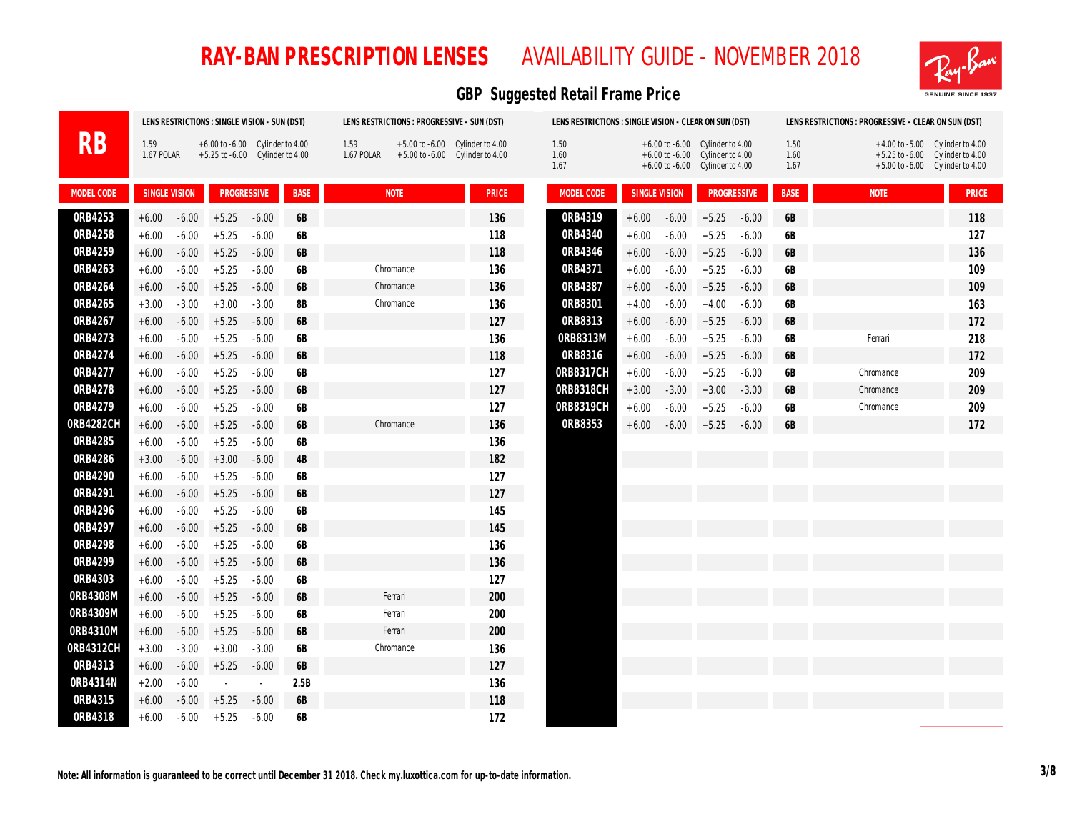

|            |                    |         | LENS RESTRICTIONS : SINGLE VISION - SUN (DST)                          |         |             |                    | LENS RESTRICTIONS : PROGRESSIVE - SUN (DST) |                                                                          | LENS RESTRICTIONS : SINGLE VISION - CLEAR ON SUN (DST) |         |               |                                                                                                                     |         |                      | LENS RESTRICTIONS : PROGRESSIVE - CLEAR ON SUN (DST) |                                                                                                                       |
|------------|--------------------|---------|------------------------------------------------------------------------|---------|-------------|--------------------|---------------------------------------------|--------------------------------------------------------------------------|--------------------------------------------------------|---------|---------------|---------------------------------------------------------------------------------------------------------------------|---------|----------------------|------------------------------------------------------|-----------------------------------------------------------------------------------------------------------------------|
| RB         | 1.59<br>1.67 POLAR |         | $+6.00$ to $-6.00$ Cylinder to 4.00<br>+5.25 to -6.00 Cylinder to 4.00 |         |             | 1.59<br>1.67 POLAR |                                             | $+5.00$ to $-6.00$ Cylinder to $4.00$<br>+5.00 to -6.00 Cylinder to 4.00 | 1.50<br>1.60<br>1.67                                   |         |               | $+6.00$ to $-6.00$ Cylinder to $4.00$<br>$+6.00$ to $-6.00$ Cylinder to 4.00<br>$+6.00$ to $-6.00$ Cylinder to 4.00 |         | 1.50<br>1.60<br>1.67 |                                                      | $+4.00$ to $-5.00$ Cylinder to $4.00$<br>$+5.25$ to $-6.00$ Cylinder to 4.00<br>$+5.00$ to $-6.00$ Cylinder to $4.00$ |
| MODEL CODE | SINGLE VISION      |         | <b>PROGRESSIVE</b>                                                     |         | <b>BASE</b> |                    | <b>NOTE</b>                                 | <b>PRICE</b>                                                             | MODEL CODE                                             |         | SINGLE VISION | <b>PROGRESSIVE</b>                                                                                                  |         | <b>BASE</b>          | <b>NOTE</b>                                          | <b>PRICE</b>                                                                                                          |
| ORB4253    | $+6.00$            | $-6.00$ | $+5.25$                                                                | $-6.00$ | 6B          |                    |                                             | 136                                                                      | 0RB4319                                                | $+6.00$ | $-6.00$       | $+5.25$                                                                                                             | $-6.00$ | 6B                   |                                                      | 118                                                                                                                   |
| 0RB4258    | $+6.00$            | $-6.00$ | $+5.25$                                                                | $-6.00$ | <b>6B</b>   |                    |                                             | 118                                                                      | 0RB4340                                                | $+6.00$ | $-6.00$       | $+5.25$                                                                                                             | $-6.00$ | <b>6B</b>            |                                                      | 127                                                                                                                   |
| 0RB4259    | $+6.00$            | $-6.00$ | $+5.25$                                                                | $-6.00$ | <b>6B</b>   |                    |                                             | 118                                                                      | 0RB4346                                                | $+6.00$ | $-6.00$       | $+5.25$                                                                                                             | $-6.00$ | 6B                   |                                                      | 136                                                                                                                   |
| 0RB4263    | $+6.00$            | $-6.00$ | $+5.25$                                                                | $-6.00$ | <b>6B</b>   |                    | Chromance                                   | 136                                                                      | 0RB4371                                                | $+6.00$ | $-6.00$       | $+5.25$                                                                                                             | $-6.00$ | <b>6B</b>            |                                                      | 109                                                                                                                   |
| 0RB4264    | $+6.00$            | $-6.00$ | $+5.25$                                                                | $-6.00$ | 6B          |                    | Chromance                                   | 136                                                                      | 0RB4387                                                | $+6.00$ | $-6.00$       | $+5.25$                                                                                                             | $-6.00$ | 6B                   |                                                      | 109                                                                                                                   |
| 0RB4265    | $+3.00$            | $-3.00$ | $+3.00$                                                                | $-3.00$ | <b>8B</b>   |                    | Chromance                                   | 136                                                                      | ORB8301                                                | $+4.00$ | $-6.00$       | $+4.00$                                                                                                             | $-6.00$ | <b>6B</b>            |                                                      | 163                                                                                                                   |
| 0RB4267    | $+6.00$            | $-6.00$ | $+5.25$                                                                | $-6.00$ | 6B          |                    |                                             | 127                                                                      | ORB8313                                                | $+6.00$ | $-6.00$       | $+5.25$                                                                                                             | $-6.00$ | 6B                   |                                                      | 172                                                                                                                   |
| 0RB4273    | $+6.00$            | $-6.00$ | $+5.25$                                                                | $-6.00$ | 6B          |                    |                                             | 136                                                                      | 0RB8313M                                               | $+6.00$ | $-6.00$       | $+5.25$                                                                                                             | $-6.00$ | 6B                   | Ferrari                                              | 218                                                                                                                   |
| 0RB4274    | $+6.00$            | $-6.00$ | $+5.25$                                                                | $-6.00$ | 6B          |                    |                                             | 118                                                                      | 0RB8316                                                | $+6.00$ | $-6.00$       | $+5.25$                                                                                                             | $-6.00$ | 6B                   |                                                      | 172                                                                                                                   |
| 0RB4277    | $+6.00$            | $-6.00$ | $+5.25$                                                                | $-6.00$ | 6B          |                    |                                             | 127                                                                      | 0RB8317CH                                              | $+6.00$ | $-6.00$       | $+5.25$                                                                                                             | $-6.00$ | <b>6B</b>            | Chromance                                            | 209                                                                                                                   |
| 0RB4278    | $+6.00$            | $-6.00$ | $+5.25$                                                                | $-6.00$ | <b>6B</b>   |                    |                                             | 127                                                                      | 0RB8318CH                                              | $+3.00$ | $-3.00$       | $+3.00$                                                                                                             | $-3.00$ | 6B                   | Chromance                                            | 209                                                                                                                   |
| 0RB4279    | $+6.00$            | $-6.00$ | $+5.25$                                                                | $-6.00$ | 6B          |                    |                                             | 127                                                                      | 0RB8319CH                                              | $+6.00$ | $-6.00$       | $+5.25$                                                                                                             | $-6.00$ | 6B                   | Chromance                                            | 209                                                                                                                   |
| 0RB4282CH  | $+6.00$            | $-6.00$ | $+5.25$                                                                | $-6.00$ | <b>6B</b>   |                    | Chromance                                   | 136                                                                      | ORB8353                                                | $+6.00$ | $-6.00$       | $+5.25$                                                                                                             | $-6.00$ | 6B                   |                                                      | 172                                                                                                                   |
| 0RB4285    | $+6.00$            | $-6.00$ | $+5.25$                                                                | $-6.00$ | 6B          |                    |                                             | 136                                                                      |                                                        |         |               |                                                                                                                     |         |                      |                                                      |                                                                                                                       |
| 0RB4286    | $+3.00$            | $-6.00$ | $+3.00$                                                                | $-6.00$ | 4B          |                    |                                             | 182                                                                      |                                                        |         |               |                                                                                                                     |         |                      |                                                      |                                                                                                                       |
| 0RB4290    | $+6.00$            | $-6.00$ | $+5.25$                                                                | $-6.00$ | 6B          |                    |                                             | 127                                                                      |                                                        |         |               |                                                                                                                     |         |                      |                                                      |                                                                                                                       |
| 0RB4291    | $+6.00$            | $-6.00$ | $+5.25$                                                                | $-6.00$ | <b>6B</b>   |                    |                                             | 127                                                                      |                                                        |         |               |                                                                                                                     |         |                      |                                                      |                                                                                                                       |
| 0RB4296    | $+6.00$            | $-6.00$ | $+5.25$                                                                | $-6.00$ | 6B          |                    |                                             | 145                                                                      |                                                        |         |               |                                                                                                                     |         |                      |                                                      |                                                                                                                       |
| 0RB4297    | $+6.00$            | $-6.00$ | $+5.25$                                                                | $-6.00$ | 6B          |                    |                                             | 145                                                                      |                                                        |         |               |                                                                                                                     |         |                      |                                                      |                                                                                                                       |
| 0RB4298    | $+6.00$            | $-6.00$ | $+5.25$                                                                | $-6.00$ | 6B          |                    |                                             | 136                                                                      |                                                        |         |               |                                                                                                                     |         |                      |                                                      |                                                                                                                       |
| 0RB4299    | $+6.00$            | $-6.00$ | $+5.25$                                                                | $-6.00$ | 6B          |                    |                                             | 136                                                                      |                                                        |         |               |                                                                                                                     |         |                      |                                                      |                                                                                                                       |
| ORB4303    | $+6.00$            | $-6.00$ | $+5.25$                                                                | $-6.00$ | <b>6B</b>   |                    |                                             | 127                                                                      |                                                        |         |               |                                                                                                                     |         |                      |                                                      |                                                                                                                       |
| 0RB4308M   | $+6.00$            | $-6.00$ | $+5.25$                                                                | $-6.00$ | <b>6B</b>   |                    | Ferrari                                     | 200                                                                      |                                                        |         |               |                                                                                                                     |         |                      |                                                      |                                                                                                                       |
| 0RB4309M   | $+6.00$            | $-6.00$ | $+5.25$                                                                | $-6.00$ | 6B          |                    | Ferrari                                     | 200                                                                      |                                                        |         |               |                                                                                                                     |         |                      |                                                      |                                                                                                                       |
| 0RB4310M   | $+6.00$            | $-6.00$ | $+5.25$                                                                | $-6.00$ | 6B          |                    | Ferrari                                     | 200                                                                      |                                                        |         |               |                                                                                                                     |         |                      |                                                      |                                                                                                                       |
| 0RB4312CH  | $+3.00$            | $-3.00$ | $+3.00$                                                                | $-3.00$ | 6B          |                    | Chromance                                   | 136                                                                      |                                                        |         |               |                                                                                                                     |         |                      |                                                      |                                                                                                                       |
| ORB4313    | $+6.00$            | $-6.00$ | $+5.25$                                                                | $-6.00$ | 6B          |                    |                                             | 127                                                                      |                                                        |         |               |                                                                                                                     |         |                      |                                                      |                                                                                                                       |
| 0RB4314N   | $+2.00$            | $-6.00$ | $\sim$                                                                 | $\sim$  | 2.5B        |                    |                                             | 136                                                                      |                                                        |         |               |                                                                                                                     |         |                      |                                                      |                                                                                                                       |
| ORB4315    | $+6.00$            | $-6.00$ | $+5.25$                                                                | $-6.00$ | 6B          |                    |                                             | 118                                                                      |                                                        |         |               |                                                                                                                     |         |                      |                                                      |                                                                                                                       |
| 0RB4318    | $+6.00$            | $-6.00$ | $+5.25$                                                                | $-6.00$ | 6B          |                    |                                             | 172                                                                      |                                                        |         |               |                                                                                                                     |         |                      |                                                      |                                                                                                                       |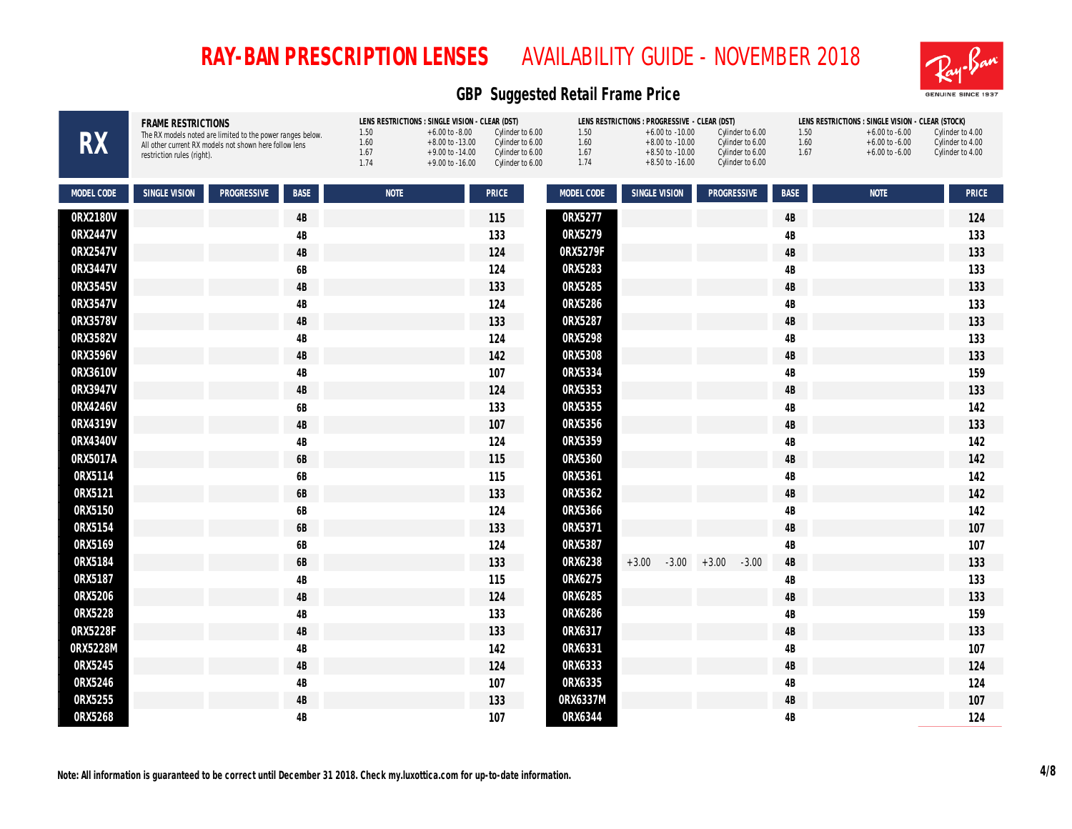

| <b>RX</b>  | <b>FRAME RESTRICTIONS</b><br>The RX models noted are limited to the power ranges below.<br>All other current RX models not shown here follow lens<br>restriction rules (right). | LENS RESTRICTIONS : SINGLE VISION - CLEAR (DST)<br>1.50<br>Cylinder to 6.00<br>$+6.00$ to $-8.00$<br>1.60<br>Cylinder to 6.00<br>$+8.00$ to $-13.00$<br>1.67<br>Cylinder to 6.00<br>$+9.00$ to $-14.00$<br>1.74<br>$+9.00$ to $-16.00$<br>Cylinder to 6.00 | LENS RESTRICTIONS : PROGRESSIVE - CLEAR (DST)<br>1.50<br>$+6.00$ to $-10.00$<br>1.60<br>$+8.00$ to $-10.00$<br>1.67<br>$+8.50$ to $-10.00$<br>1.74<br>$+8.50$ to $-16.00$ | Cylinder to 6.00<br>Cylinder to 6.00<br>Cylinder to 6.00<br>Cylinder to 6.00 | LENS RESTRICTIONS : SINGLE VISION - CLEAR (STOCK)<br>1.50<br>Cylinder to 4.00<br>$+6.00$ to $-6.00$<br>1.60<br>$+6.00$ to $-6.00$<br>Cylinder to 4.00<br>1.67<br>$+6.00$ to $-6.00$<br>Cylinder to 4.00 |
|------------|---------------------------------------------------------------------------------------------------------------------------------------------------------------------------------|------------------------------------------------------------------------------------------------------------------------------------------------------------------------------------------------------------------------------------------------------------|---------------------------------------------------------------------------------------------------------------------------------------------------------------------------|------------------------------------------------------------------------------|---------------------------------------------------------------------------------------------------------------------------------------------------------------------------------------------------------|
| MODEL CODE | <b>SINGLE VISION</b><br><b>PROGRESSIVE</b><br><b>BASE</b>                                                                                                                       | <b>NOTE</b><br>PRICE                                                                                                                                                                                                                                       | MODEL CODE<br>SINGLE VISION                                                                                                                                               | PROGRESSIVE<br><b>BASE</b>                                                   | <b>NOTE</b><br>PRICE                                                                                                                                                                                    |
| 0RX2180V   | $4\mathsf{B}$                                                                                                                                                                   | 115                                                                                                                                                                                                                                                        | 0RX5277                                                                                                                                                                   | $4\mathsf{B}$                                                                | 124                                                                                                                                                                                                     |
| 0RX2447V   | 4B                                                                                                                                                                              | 133                                                                                                                                                                                                                                                        | 0RX5279                                                                                                                                                                   | 4B                                                                           | 133                                                                                                                                                                                                     |
| 0RX2547V   | $4\mathsf{B}$                                                                                                                                                                   | 124                                                                                                                                                                                                                                                        | 0RX5279F                                                                                                                                                                  | 4B                                                                           | 133                                                                                                                                                                                                     |
| 0RX3447V   | 6B                                                                                                                                                                              | 124                                                                                                                                                                                                                                                        | ORX5283                                                                                                                                                                   | 4B                                                                           | 133                                                                                                                                                                                                     |
| 0RX3545V   | $4\mathsf{B}$                                                                                                                                                                   | 133                                                                                                                                                                                                                                                        | ORX5285                                                                                                                                                                   | $4\mathsf{B}$                                                                | 133                                                                                                                                                                                                     |
| 0RX3547V   | $4\mathsf{B}$                                                                                                                                                                   | 124                                                                                                                                                                                                                                                        | 0RX5286                                                                                                                                                                   | 4B                                                                           | 133                                                                                                                                                                                                     |
| 0RX3578V   | $4\mathsf{B}$                                                                                                                                                                   | 133                                                                                                                                                                                                                                                        | 0RX5287                                                                                                                                                                   | 4B                                                                           | 133                                                                                                                                                                                                     |
| 0RX3582V   | $4\mathsf{B}$                                                                                                                                                                   | 124                                                                                                                                                                                                                                                        | 0RX5298                                                                                                                                                                   | 4B                                                                           | 133                                                                                                                                                                                                     |
| 0RX3596V   | $4\mathsf{B}$                                                                                                                                                                   | 142                                                                                                                                                                                                                                                        | 0RX5308                                                                                                                                                                   | 4B                                                                           | 133                                                                                                                                                                                                     |
| 0RX3610V   | $4\mathsf{B}$                                                                                                                                                                   | 107                                                                                                                                                                                                                                                        | 0RX5334                                                                                                                                                                   | 4B                                                                           | 159                                                                                                                                                                                                     |
| 0RX3947V   | $4\mathsf{B}$                                                                                                                                                                   | 124                                                                                                                                                                                                                                                        | ORX5353                                                                                                                                                                   | $4\mathsf{B}$                                                                | 133                                                                                                                                                                                                     |
| 0RX4246V   | 6B                                                                                                                                                                              | 133                                                                                                                                                                                                                                                        | 0RX5355                                                                                                                                                                   | 4B                                                                           | 142                                                                                                                                                                                                     |
| 0RX4319V   | $4\mathsf{B}$                                                                                                                                                                   | 107                                                                                                                                                                                                                                                        | 0RX5356                                                                                                                                                                   | $4\mathsf{B}$                                                                | 133                                                                                                                                                                                                     |
| 0RX4340V   | $4\mathsf{B}$                                                                                                                                                                   | 124                                                                                                                                                                                                                                                        | 0RX5359                                                                                                                                                                   | 4B                                                                           | 142                                                                                                                                                                                                     |
| 0RX5017A   | $6\mathsf{B}$                                                                                                                                                                   | 115                                                                                                                                                                                                                                                        | 0RX5360                                                                                                                                                                   | $4\mathsf{B}$                                                                | 142                                                                                                                                                                                                     |
| 0RX5114    | $6\mathsf{B}$                                                                                                                                                                   | 115                                                                                                                                                                                                                                                        | 0RX5361                                                                                                                                                                   | $4\mathsf{B}$                                                                | 142                                                                                                                                                                                                     |
| 0RX5121    | 6B                                                                                                                                                                              | 133                                                                                                                                                                                                                                                        | 0RX5362                                                                                                                                                                   | 4B                                                                           | 142                                                                                                                                                                                                     |
| 0RX5150    | 6B                                                                                                                                                                              | 124                                                                                                                                                                                                                                                        | 0RX5366                                                                                                                                                                   | $4\mathsf{B}$                                                                | 142                                                                                                                                                                                                     |
| 0RX5154    | $6\mathsf{B}$                                                                                                                                                                   | 133                                                                                                                                                                                                                                                        | 0RX5371                                                                                                                                                                   | $4\mathsf{B}$                                                                | 107                                                                                                                                                                                                     |
| 0RX5169    | $6\mathsf{B}$                                                                                                                                                                   | 124                                                                                                                                                                                                                                                        | 0RX5387                                                                                                                                                                   | 4B                                                                           | 107                                                                                                                                                                                                     |
| 0RX5184    | $6\mathsf{B}$                                                                                                                                                                   | 133                                                                                                                                                                                                                                                        | 0RX6238<br>$+3.00$<br>$-3.00$                                                                                                                                             | $4\mathsf{B}$<br>$+3.00$<br>$-3.00$                                          | 133                                                                                                                                                                                                     |
| 0RX5187    | $4\mathsf{B}$                                                                                                                                                                   | 115                                                                                                                                                                                                                                                        | 0RX6275                                                                                                                                                                   | 4B                                                                           | 133                                                                                                                                                                                                     |
| 0RX5206    | $4\mathsf{B}$                                                                                                                                                                   | 124                                                                                                                                                                                                                                                        | 0RX6285                                                                                                                                                                   | $4\mathsf{B}$                                                                | 133                                                                                                                                                                                                     |
| 0RX5228    | $4\mathsf{B}$                                                                                                                                                                   | 133                                                                                                                                                                                                                                                        | 0RX6286                                                                                                                                                                   | $4\mathsf{B}$                                                                | 159                                                                                                                                                                                                     |
| 0RX5228F   | $4\mathsf{B}$                                                                                                                                                                   | 133                                                                                                                                                                                                                                                        | 0RX6317                                                                                                                                                                   | 4B                                                                           | 133                                                                                                                                                                                                     |
| 0RX5228M   | $4\mathsf{B}$                                                                                                                                                                   | 142                                                                                                                                                                                                                                                        | 0RX6331                                                                                                                                                                   | 4B                                                                           | 107                                                                                                                                                                                                     |
| ORX5245    | $4\mathsf{B}$                                                                                                                                                                   | 124                                                                                                                                                                                                                                                        | ORX6333                                                                                                                                                                   | 4B                                                                           | 124                                                                                                                                                                                                     |
| 0RX5246    | $4\mathsf{B}$                                                                                                                                                                   | 107                                                                                                                                                                                                                                                        | 0RX6335                                                                                                                                                                   | 4B                                                                           | 124                                                                                                                                                                                                     |
| 0RX5255    | $4\mathsf{B}$                                                                                                                                                                   | 133                                                                                                                                                                                                                                                        | 0RX6337M                                                                                                                                                                  | 4B                                                                           | 107                                                                                                                                                                                                     |
| 0RX5268    | 4B                                                                                                                                                                              | 107                                                                                                                                                                                                                                                        | 0RX6344                                                                                                                                                                   | 4B                                                                           | 124                                                                                                                                                                                                     |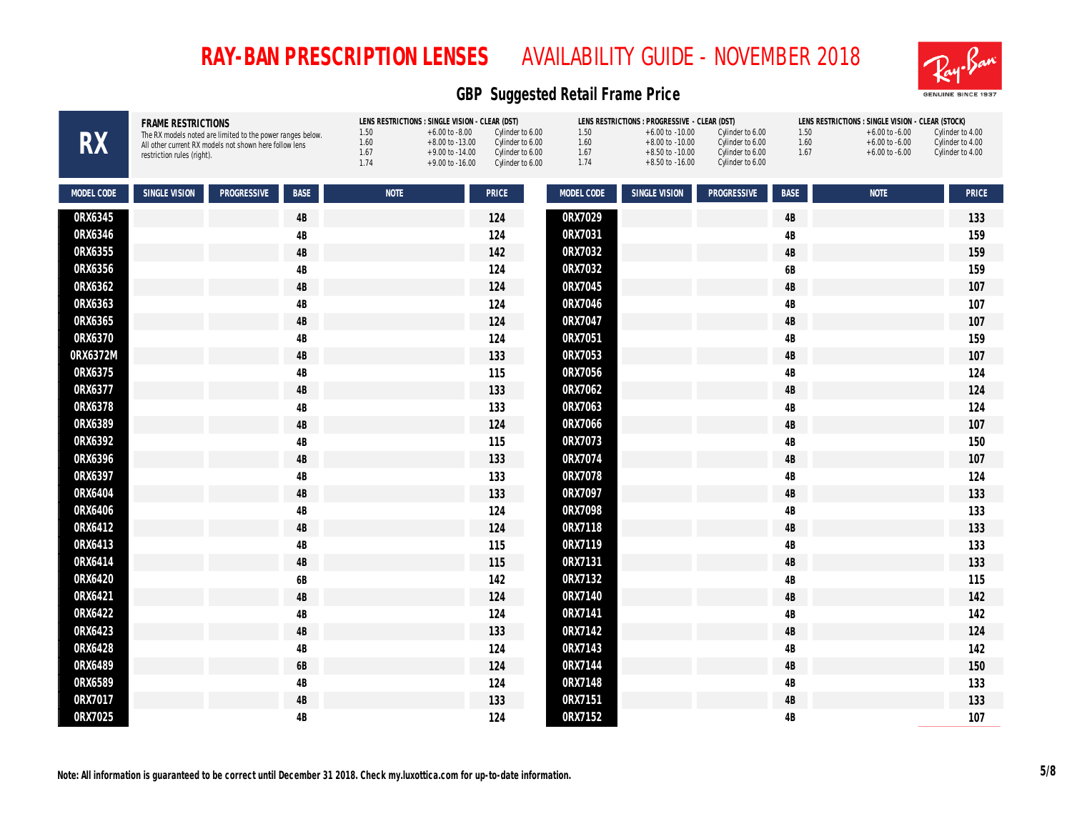

| <b>RX</b>  | FRAME RESTRICTIONS<br>The RX models noted are limited to the power ranges below.<br>All other current RX models not shown here follow lens<br>restriction rules (right). | LENS RESTRICTIONS : SINGLE VISION - CLEAR (DST)<br>1.50<br>$+6.00$ to $-8.00$<br>1.60<br>$+8.00$ to $-13.00$<br>1.67<br>$+9.00$ to $-14.00$<br>1.74<br>$+9.00$ to $-16.00$ | 1.50<br>Cylinder to 6.00<br>1.60<br>Cylinder to 6.00<br>1.67<br>Cylinder to 6.00<br>1.74<br>Cylinder to 6.00 | LENS RESTRICTIONS : PROGRESSIVE - CLEAR (DST)<br>Cylinder to 6.00<br>$+6.00$ to $-10.00$<br>Cylinder to 6.00<br>$+8.00$ to $-10.00$<br>$+8.50$ to $-10.00$<br>Cylinder to 6.00<br>$+8.50$ to $-16.00$<br>Cylinder to 6.00 | LENS RESTRICTIONS : SINGLE VISION - CLEAR (STOCK)<br>1.50<br>$+6.00$ to $-6.00$<br>1.60<br>$+6.00$ to $-6.00$<br>1.67<br>$+6.00$ to $-6.00$ | Cylinder to 4.00<br>Cylinder to 4.00<br>Cylinder to 4.00 |
|------------|--------------------------------------------------------------------------------------------------------------------------------------------------------------------------|----------------------------------------------------------------------------------------------------------------------------------------------------------------------------|--------------------------------------------------------------------------------------------------------------|---------------------------------------------------------------------------------------------------------------------------------------------------------------------------------------------------------------------------|---------------------------------------------------------------------------------------------------------------------------------------------|----------------------------------------------------------|
| MODEL CODE | SINGLE VISION<br><b>PROGRESSIVE</b><br><b>BASE</b>                                                                                                                       | <b>NOTE</b>                                                                                                                                                                | MODEL CODE<br>PRICE                                                                                          | SINGLE VISION<br>PROGRESSIVE                                                                                                                                                                                              | <b>NOTE</b><br><b>BASE</b>                                                                                                                  | PRICE                                                    |
| 0RX6345    | 4B                                                                                                                                                                       |                                                                                                                                                                            | 0RX7029<br>124                                                                                               |                                                                                                                                                                                                                           | $4\mathsf{B}$                                                                                                                               | 133                                                      |
| 0RX6346    | 4B                                                                                                                                                                       |                                                                                                                                                                            | 0RX7031<br>124                                                                                               |                                                                                                                                                                                                                           | 4B                                                                                                                                          | 159                                                      |
| 0RX6355    | $4\mathrm{B}$                                                                                                                                                            |                                                                                                                                                                            | 0RX7032<br>142                                                                                               |                                                                                                                                                                                                                           | $4\mathsf{B}$                                                                                                                               | 159                                                      |
| 0RX6356    | 4B                                                                                                                                                                       |                                                                                                                                                                            | 0RX7032<br>124                                                                                               |                                                                                                                                                                                                                           | 6B                                                                                                                                          | 159                                                      |
| 0RX6362    | 4B                                                                                                                                                                       |                                                                                                                                                                            | 0RX7045<br>124                                                                                               |                                                                                                                                                                                                                           | $4\mathsf{B}$                                                                                                                               | 107                                                      |
| 0RX6363    | 4B                                                                                                                                                                       |                                                                                                                                                                            | 0RX7046<br>124                                                                                               |                                                                                                                                                                                                                           | $4\mathsf{B}$                                                                                                                               | 107                                                      |
| 0RX6365    | 4B                                                                                                                                                                       |                                                                                                                                                                            | 0RX7047<br>124                                                                                               |                                                                                                                                                                                                                           | 4B                                                                                                                                          | 107                                                      |
| 0RX6370    | 4B                                                                                                                                                                       |                                                                                                                                                                            | 0RX7051<br>124                                                                                               |                                                                                                                                                                                                                           | 4B                                                                                                                                          | 159                                                      |
| 0RX6372M   | 4B                                                                                                                                                                       |                                                                                                                                                                            | 0RX7053<br>133                                                                                               |                                                                                                                                                                                                                           | $4\mathsf{B}$                                                                                                                               | 107                                                      |
| 0RX6375    | 4B                                                                                                                                                                       |                                                                                                                                                                            | 0RX7056<br>115                                                                                               |                                                                                                                                                                                                                           | $4\mathsf{B}$                                                                                                                               | 124                                                      |
| 0RX6377    | $4\mathrm{B}$                                                                                                                                                            |                                                                                                                                                                            | 0RX7062<br>133                                                                                               |                                                                                                                                                                                                                           | $4\mathsf{B}$                                                                                                                               | 124                                                      |
| 0RX6378    | 4B                                                                                                                                                                       |                                                                                                                                                                            | 0RX7063<br>133                                                                                               |                                                                                                                                                                                                                           | $4\mathsf{B}$                                                                                                                               | 124                                                      |
| 0RX6389    | $4\mathrm{B}$                                                                                                                                                            |                                                                                                                                                                            | 0RX7066<br>124                                                                                               |                                                                                                                                                                                                                           | $4\mathsf{B}$                                                                                                                               | 107                                                      |
| 0RX6392    | 4B                                                                                                                                                                       |                                                                                                                                                                            | 0RX7073<br>115                                                                                               |                                                                                                                                                                                                                           | 4B                                                                                                                                          | 150                                                      |
| 0RX6396    | 4B                                                                                                                                                                       |                                                                                                                                                                            | 0RX7074<br>133                                                                                               |                                                                                                                                                                                                                           | $4\mathsf{B}$                                                                                                                               | 107                                                      |
| 0RX6397    | 4B                                                                                                                                                                       |                                                                                                                                                                            | 0RX7078<br>133                                                                                               |                                                                                                                                                                                                                           | $4\mathsf{B}$                                                                                                                               | 124                                                      |
| 0RX6404    | 4B                                                                                                                                                                       |                                                                                                                                                                            | 0RX7097<br>133                                                                                               |                                                                                                                                                                                                                           | 4B                                                                                                                                          | 133                                                      |
| 0RX6406    | 4B                                                                                                                                                                       |                                                                                                                                                                            | 0RX7098<br>124                                                                                               |                                                                                                                                                                                                                           | $4\mathsf{B}$                                                                                                                               | 133                                                      |
| 0RX6412    | 4B                                                                                                                                                                       |                                                                                                                                                                            | 124<br>0RX7118                                                                                               |                                                                                                                                                                                                                           | $4\mathsf{B}$                                                                                                                               | 133                                                      |
| 0RX6413    | 4B                                                                                                                                                                       |                                                                                                                                                                            | 0RX7119<br>115                                                                                               |                                                                                                                                                                                                                           | $4\mathsf{B}$                                                                                                                               | 133                                                      |
| 0RX6414    | $4\mathrm{B}$                                                                                                                                                            |                                                                                                                                                                            | 0RX7131<br>115                                                                                               |                                                                                                                                                                                                                           | $4\mathsf{B}$                                                                                                                               | 133                                                      |
| 0RX6420    | 6B                                                                                                                                                                       |                                                                                                                                                                            | ORX7132<br>142                                                                                               |                                                                                                                                                                                                                           | $4\mathsf{B}$                                                                                                                               | 115                                                      |
| 0RX6421    | 4B                                                                                                                                                                       |                                                                                                                                                                            | 0RX7140<br>124                                                                                               |                                                                                                                                                                                                                           | $4\mathsf{B}$                                                                                                                               | 142                                                      |
| 0RX6422    | 4B                                                                                                                                                                       |                                                                                                                                                                            | 0RX7141<br>124                                                                                               |                                                                                                                                                                                                                           | $4\mathsf{B}$                                                                                                                               | 142                                                      |
| 0RX6423    | 4B                                                                                                                                                                       |                                                                                                                                                                            | 0RX7142<br>133                                                                                               |                                                                                                                                                                                                                           | $4\mathsf{B}$                                                                                                                               | 124                                                      |
| 0RX6428    | $4\mathrm{B}$                                                                                                                                                            |                                                                                                                                                                            | 0RX7143<br>124                                                                                               |                                                                                                                                                                                                                           | 4B                                                                                                                                          | 142                                                      |
| 0RX6489    | 6B                                                                                                                                                                       |                                                                                                                                                                            | 0RX7144<br>124                                                                                               |                                                                                                                                                                                                                           | 4B                                                                                                                                          | 150                                                      |
| 0RX6589    | 4B                                                                                                                                                                       |                                                                                                                                                                            | 0RX7148<br>124                                                                                               |                                                                                                                                                                                                                           | $4\mathsf{B}$                                                                                                                               | 133                                                      |
| 0RX7017    | 4B                                                                                                                                                                       |                                                                                                                                                                            | 0RX7151<br>133                                                                                               |                                                                                                                                                                                                                           | $4\mathsf{B}$                                                                                                                               | 133                                                      |
| 0RX7025    | 4B                                                                                                                                                                       |                                                                                                                                                                            | 0RX7152<br>124                                                                                               |                                                                                                                                                                                                                           | 4B                                                                                                                                          | 107                                                      |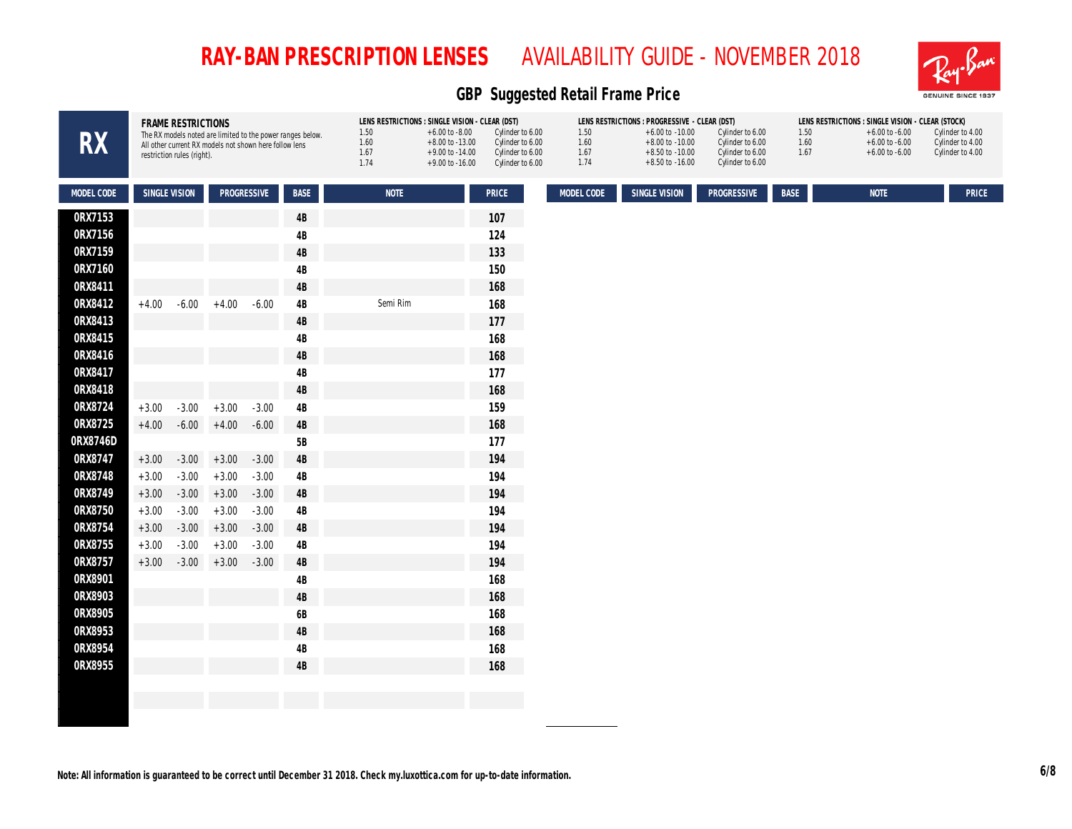

| <b>RX</b>  |               | FRAME RESTRICTIONS<br>restriction rules (right). | All other current RX models not shown here follow lens |         | The RX models noted are limited to the power ranges below. | LENS RESTRICTIONS : SINGLE VISION - CLEAR (DST)<br>1.50<br>1.60<br>1.67<br>1.74 | $+6.00$ to $-8.00$<br>$+8.00$ to $-13.00$<br>$+9.00$ to $-14.00$<br>$+9.00$ to $-16.00$ | Cylinder to 6.00<br>Cylinder to 6.00<br>Cylinder to 6.00<br>Cylinder to 6.00 | 1.50<br>1.60<br>1.67<br>1.74 | LENS RESTRICTIONS : PROGRESSIVE - CLEAR (DST)<br>$+6.00$ to $-10.00$<br>$+8.00$ to $-10.00$<br>$+8.50$ to $-10.00$<br>$+8.50$ to $-16.00$ | Cylinder to 6.00<br>Cylinder to 6.00<br>Cylinder to 6.00<br>Cylinder to 6.00 | 1.50<br>1.60<br>1.67 | LENS RESTRICTIONS : SINGLE VISION - CLEAR (STOCK)<br>$+6.00$ to $-6.00$<br>$+6.00$ to $-6.00$<br>$+6.00$ to $-6.00$ | Cylinder to 4.00<br>Cylinder to 4.00<br>Cylinder to 4.00 |
|------------|---------------|--------------------------------------------------|--------------------------------------------------------|---------|------------------------------------------------------------|---------------------------------------------------------------------------------|-----------------------------------------------------------------------------------------|------------------------------------------------------------------------------|------------------------------|-------------------------------------------------------------------------------------------------------------------------------------------|------------------------------------------------------------------------------|----------------------|---------------------------------------------------------------------------------------------------------------------|----------------------------------------------------------|
| MODEL CODE | SINGLE VISION |                                                  | PROGRESSIVE                                            |         | BASE                                                       | <b>NOTE</b>                                                                     |                                                                                         | <b>PRICE</b>                                                                 | MODEL CODE                   | SINGLE VISION                                                                                                                             | PROGRESSIVE                                                                  | BASE                 | <b>NOTE</b>                                                                                                         | <b>PRICE</b>                                             |
| 0RX7153    |               |                                                  |                                                        |         | 4B                                                         |                                                                                 |                                                                                         | 107                                                                          |                              |                                                                                                                                           |                                                                              |                      |                                                                                                                     |                                                          |
| 0RX7156    |               |                                                  |                                                        |         | 4B                                                         |                                                                                 |                                                                                         | 124                                                                          |                              |                                                                                                                                           |                                                                              |                      |                                                                                                                     |                                                          |
| 0RX7159    |               |                                                  |                                                        |         | 4B                                                         |                                                                                 |                                                                                         | 133                                                                          |                              |                                                                                                                                           |                                                                              |                      |                                                                                                                     |                                                          |
| 0RX7160    |               |                                                  |                                                        |         | 4B                                                         |                                                                                 |                                                                                         | 150                                                                          |                              |                                                                                                                                           |                                                                              |                      |                                                                                                                     |                                                          |
| ORX8411    |               |                                                  |                                                        |         | 4B                                                         |                                                                                 |                                                                                         | 168                                                                          |                              |                                                                                                                                           |                                                                              |                      |                                                                                                                     |                                                          |
| 0RX8412    | $+4.00$       | $-6.00$                                          | $+4.00$                                                | $-6.00$ | 4B                                                         | Semi Rim                                                                        |                                                                                         | 168                                                                          |                              |                                                                                                                                           |                                                                              |                      |                                                                                                                     |                                                          |
| ORX8413    |               |                                                  |                                                        |         | 4B                                                         |                                                                                 |                                                                                         | 177                                                                          |                              |                                                                                                                                           |                                                                              |                      |                                                                                                                     |                                                          |
| 0RX8415    |               |                                                  |                                                        |         | 4B                                                         |                                                                                 |                                                                                         | 168                                                                          |                              |                                                                                                                                           |                                                                              |                      |                                                                                                                     |                                                          |
| 0RX8416    |               |                                                  |                                                        |         | 4B                                                         |                                                                                 |                                                                                         | 168                                                                          |                              |                                                                                                                                           |                                                                              |                      |                                                                                                                     |                                                          |
| ORX8417    |               |                                                  |                                                        |         | 4B                                                         |                                                                                 |                                                                                         | 177                                                                          |                              |                                                                                                                                           |                                                                              |                      |                                                                                                                     |                                                          |
| 0RX8418    |               |                                                  |                                                        |         | 4B                                                         |                                                                                 |                                                                                         | 168                                                                          |                              |                                                                                                                                           |                                                                              |                      |                                                                                                                     |                                                          |
| 0RX8724    | $+3.00$       | $-3.00$                                          | $+3.00$                                                | $-3.00$ | 4B                                                         |                                                                                 |                                                                                         | 159                                                                          |                              |                                                                                                                                           |                                                                              |                      |                                                                                                                     |                                                          |
| 0RX8725    | $+4.00$       | $-6.00$                                          | $+4.00$                                                | $-6.00$ | $4\mathsf{B}$                                              |                                                                                 |                                                                                         | 168                                                                          |                              |                                                                                                                                           |                                                                              |                      |                                                                                                                     |                                                          |
| 0RX8746D   |               |                                                  |                                                        |         | 5B                                                         |                                                                                 |                                                                                         | 177                                                                          |                              |                                                                                                                                           |                                                                              |                      |                                                                                                                     |                                                          |
| 0RX8747    | $+3.00$       | $-3.00$                                          | $+3.00$                                                | $-3.00$ | $4B$                                                       |                                                                                 |                                                                                         | 194                                                                          |                              |                                                                                                                                           |                                                                              |                      |                                                                                                                     |                                                          |
| 0RX8748    | $+3.00$       | $-3.00$                                          | $+3.00$                                                | $-3.00$ | $4\mathsf{B}$                                              |                                                                                 |                                                                                         | 194                                                                          |                              |                                                                                                                                           |                                                                              |                      |                                                                                                                     |                                                          |
| 0RX8749    | $+3.00$       | $-3.00$                                          | $+3.00$                                                | $-3.00$ | $4\mathsf{B}$                                              |                                                                                 |                                                                                         | 194                                                                          |                              |                                                                                                                                           |                                                                              |                      |                                                                                                                     |                                                          |
| 0RX8750    | $+3.00$       | $-3.00$                                          | $+3.00$                                                | $-3.00$ | 4B                                                         |                                                                                 |                                                                                         | 194                                                                          |                              |                                                                                                                                           |                                                                              |                      |                                                                                                                     |                                                          |
| 0RX8754    | $+3.00$       | $-3.00$                                          | $+3.00$                                                | $-3.00$ | $4\mathsf{B}$                                              |                                                                                 |                                                                                         | 194                                                                          |                              |                                                                                                                                           |                                                                              |                      |                                                                                                                     |                                                          |
| ORX8755    | $+3.00$       | $-3.00$                                          | $+3.00$                                                | $-3.00$ | $4\mathsf{B}$                                              |                                                                                 |                                                                                         | 194                                                                          |                              |                                                                                                                                           |                                                                              |                      |                                                                                                                     |                                                          |
| 0RX8757    | $+3.00$       | $-3.00$                                          | $+3.00$                                                | $-3.00$ | 4B                                                         |                                                                                 |                                                                                         | 194                                                                          |                              |                                                                                                                                           |                                                                              |                      |                                                                                                                     |                                                          |
| 0RX8901    |               |                                                  |                                                        |         | 4B                                                         |                                                                                 |                                                                                         | 168                                                                          |                              |                                                                                                                                           |                                                                              |                      |                                                                                                                     |                                                          |
| 0RX8903    |               |                                                  |                                                        |         | 4B                                                         |                                                                                 |                                                                                         | 168                                                                          |                              |                                                                                                                                           |                                                                              |                      |                                                                                                                     |                                                          |
| 0RX8905    |               |                                                  |                                                        |         | 6B                                                         |                                                                                 |                                                                                         | 168                                                                          |                              |                                                                                                                                           |                                                                              |                      |                                                                                                                     |                                                          |
| ORX8953    |               |                                                  |                                                        |         | 4B                                                         |                                                                                 |                                                                                         | 168                                                                          |                              |                                                                                                                                           |                                                                              |                      |                                                                                                                     |                                                          |
| 0RX8954    |               |                                                  |                                                        |         | 4B                                                         |                                                                                 |                                                                                         | 168                                                                          |                              |                                                                                                                                           |                                                                              |                      |                                                                                                                     |                                                          |
| 0RX8955    |               |                                                  |                                                        |         | 4B                                                         |                                                                                 |                                                                                         | 168                                                                          |                              |                                                                                                                                           |                                                                              |                      |                                                                                                                     |                                                          |
|            |               |                                                  |                                                        |         |                                                            |                                                                                 |                                                                                         |                                                                              |                              |                                                                                                                                           |                                                                              |                      |                                                                                                                     |                                                          |
|            |               |                                                  |                                                        |         |                                                            |                                                                                 |                                                                                         |                                                                              |                              |                                                                                                                                           |                                                                              |                      |                                                                                                                     |                                                          |
|            |               |                                                  |                                                        |         |                                                            |                                                                                 |                                                                                         |                                                                              |                              |                                                                                                                                           |                                                                              |                      |                                                                                                                     |                                                          |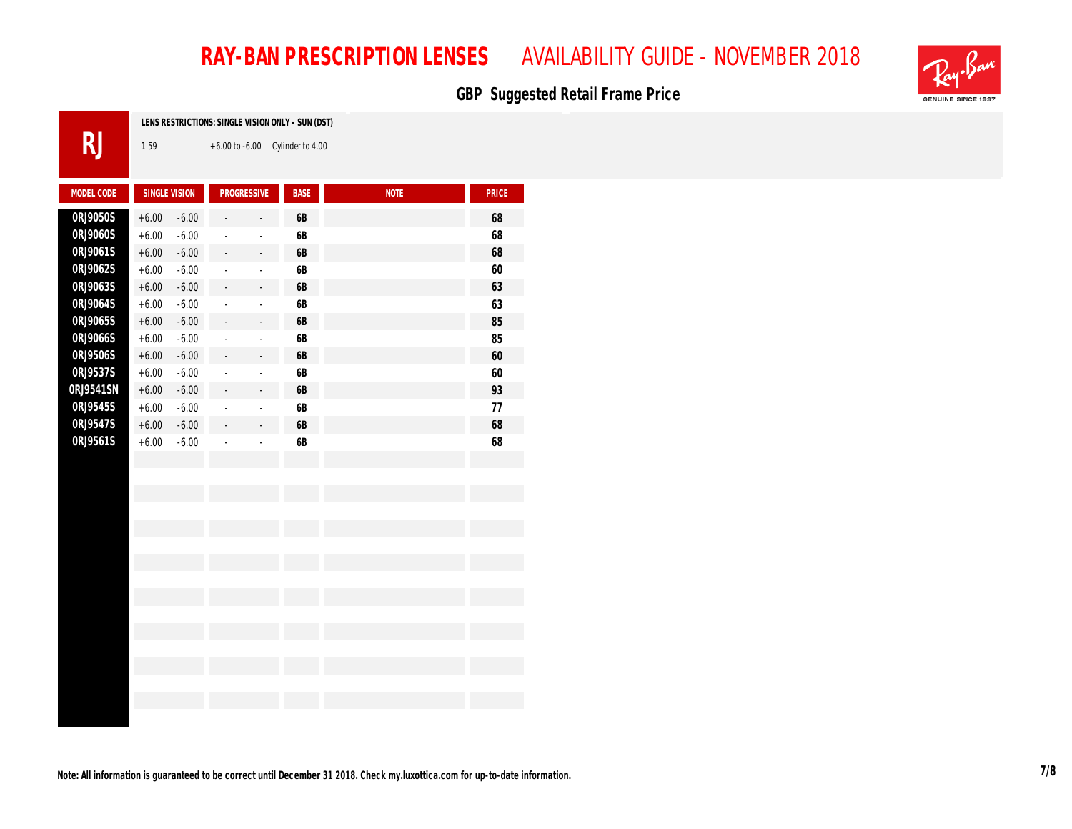### GBP Suggested Retail Frame Price



| LENS RESTRICT |
|---------------|
| 1.59          |
|               |

**FIONS: SINGLE VISION ONLY - SUN (DST)** 

+6.00 to -6.00 Cylinder to 4.00

| MODEL CODE | SINGLE VISION |         | PROGRESSIVE    |                          | BASE          | <b>NOTE</b> | PRICE  |
|------------|---------------|---------|----------------|--------------------------|---------------|-------------|--------|
| 0RJ9050S   | $+6.00$       | $-6.00$ |                |                          | $6\mathsf{B}$ |             | $68\,$ |
| 0RJ9060S   | $+6.00$       | $-6.00$ |                |                          | $6\mathsf{B}$ |             | 68     |
| 0RJ9061S   | $+6.00$       | $-6.00$ |                |                          | $6\mathsf{B}$ |             | 68     |
| 0RJ9062S   | $+6.00$       | $-6.00$ | $\sim$         | $\sim$                   | $6\mathsf{B}$ |             | 60     |
| 0RJ9063S   | $+6.00$       | $-6.00$ | ÷.             | $\sim$                   | $6\mathsf{B}$ |             | 63     |
| 0RJ9064S   | $+6.00$       | $-6.00$ |                |                          | $6\mathsf{B}$ |             | 63     |
| 0RJ9065S   | $+6.00$       | $-6.00$ |                | $\bar{a}$                | $6\mathsf{B}$ |             | $85\,$ |
| 0RJ9066S   | $+6.00$       | $-6.00$ |                | $\sim$                   | $6\mathsf{B}$ |             | $85\,$ |
| 0RJ9506S   | $+6.00$       | $-6.00$ |                | $\sim$                   | $6\mathsf{B}$ |             | $60\,$ |
| 0RJ9537S   | $+6.00$       | $-6.00$ |                |                          | $6\mathsf{B}$ |             | $60\,$ |
| 0RJ9541SN  | $+6.00$       | $-6.00$ |                |                          | $6\mathsf{B}$ |             | $93\,$ |
| 0RJ9545S   | $+6.00$       | $-6.00$ | $\overline{a}$ | ÷,                       | $6\mathsf{B}$ |             | $77\,$ |
| 0RJ9547S   | $+6.00$       | $-6.00$ | $\overline{a}$ | $\overline{\phantom{a}}$ | $6\mathsf{B}$ |             | 68     |
| 0RJ9561S   | $+6.00$       | $-6.00$ |                |                          | $6\mathsf{B}$ |             | 68     |
|            |               |         |                |                          |               |             |        |
|            |               |         |                |                          |               |             |        |
|            |               |         |                |                          |               |             |        |
|            |               |         |                |                          |               |             |        |
|            |               |         |                |                          |               |             |        |
|            |               |         |                |                          |               |             |        |
|            |               |         |                |                          |               |             |        |
|            |               |         |                |                          |               |             |        |
|            |               |         |                |                          |               |             |        |
|            |               |         |                |                          |               |             |        |
|            |               |         |                |                          |               |             |        |
|            |               |         |                |                          |               |             |        |
|            |               |         |                |                          |               |             |        |
|            |               |         |                |                          |               |             |        |
|            |               |         |                |                          |               |             |        |
|            |               |         |                |                          |               |             |        |